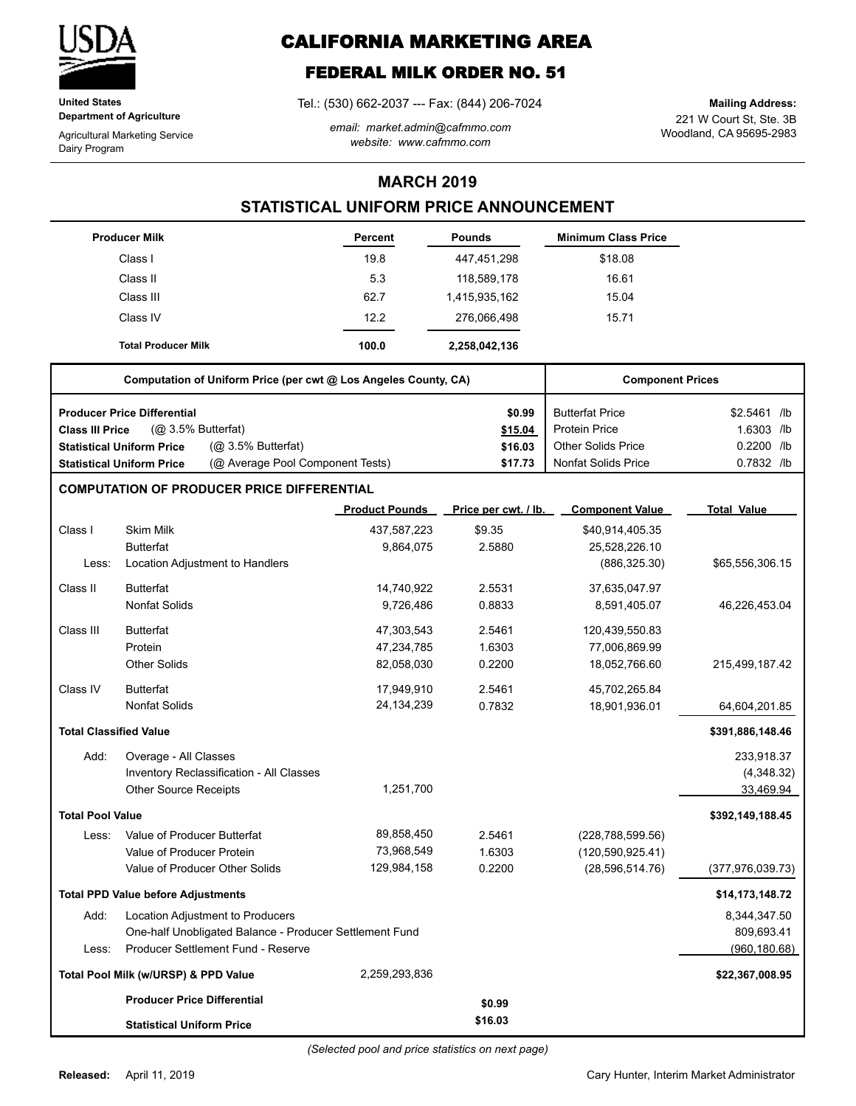

**United States Department of Agriculture**

Agricultural Marketing Service Dairy Program

# **CALIFORNIA MARKETING AREA**

## **FEDERAL MILK ORDER NO. 51**

Tel.: (530) 662-2037 --- Fax: (844) 206-7024

*email: market.admin@cafmmo.com website: www.cafmmo.com*

221 W Court St, Ste. 3B Woodland, CA 95695-2983 **Mailing Address:**

### **MARCH 2019**

### **STATISTICAL UNIFORM PRICE ANNOUNCEMENT**

|                               | <b>Producer Milk</b>                                                 | <b>Percent</b>        | <b>Pounds</b>        | <b>Minimum Class Price</b> |                    |
|-------------------------------|----------------------------------------------------------------------|-----------------------|----------------------|----------------------------|--------------------|
|                               | Class I                                                              | 19.8                  | 447,451,298          | \$18.08                    |                    |
|                               | Class II                                                             | 5.3                   | 118,589,178          | 16.61                      |                    |
|                               | Class III                                                            | 62.7                  | 1,415,935,162        | 15.04                      |                    |
|                               | Class IV                                                             | 12.2                  | 276,066,498          | 15.71                      |                    |
|                               | <b>Total Producer Milk</b>                                           | 100.0                 | 2,258,042,136        |                            |                    |
|                               | Computation of Uniform Price (per cwt @ Los Angeles County, CA)      |                       |                      | <b>Component Prices</b>    |                    |
|                               | <b>Producer Price Differential</b>                                   |                       | \$0.99               | <b>Butterfat Price</b>     | \$2.5461 /lb       |
| <b>Class III Price</b>        | (Q <sub>2</sub> 3.5% Butterfat)                                      |                       | \$15.04              | <b>Protein Price</b>       | 1.6303 /lb         |
|                               | (@ 3.5% Butterfat)<br><b>Statistical Uniform Price</b>               |                       | \$16.03              | <b>Other Solids Price</b>  | 0.2200 /lb         |
|                               | (@ Average Pool Component Tests)<br><b>Statistical Uniform Price</b> |                       | \$17.73              | <b>Nonfat Solids Price</b> | 0.7832 /lb         |
|                               | <b>COMPUTATION OF PRODUCER PRICE DIFFERENTIAL</b>                    |                       |                      |                            |                    |
|                               |                                                                      | <b>Product Pounds</b> | Price per cwt. / lb. | <b>Component Value</b>     | <b>Total Value</b> |
| Class I                       | <b>Skim Milk</b>                                                     | 437,587,223           | \$9.35               | \$40,914,405.35            |                    |
|                               | <b>Butterfat</b>                                                     | 9,864,075             | 2.5880               | 25,528,226.10              |                    |
| Less:                         | Location Adjustment to Handlers                                      |                       |                      | (886, 325.30)              | \$65,556,306.15    |
| Class II                      | <b>Butterfat</b>                                                     | 14,740,922            | 2.5531               | 37,635,047.97              |                    |
|                               | <b>Nonfat Solids</b>                                                 | 9,726,486             | 0.8833               | 8,591,405.07               | 46,226,453.04      |
| Class III                     | <b>Butterfat</b>                                                     | 47,303,543            | 2.5461               | 120,439,550.83             |                    |
|                               | Protein                                                              | 47,234,785            | 1.6303               | 77,006,869.99              |                    |
|                               | <b>Other Solids</b>                                                  | 82,058,030            | 0.2200               | 18,052,766.60              | 215,499,187.42     |
| Class IV                      | <b>Butterfat</b>                                                     | 17,949,910            | 2.5461               | 45,702,265.84              |                    |
|                               | <b>Nonfat Solids</b>                                                 | 24, 134, 239          | 0.7832               | 18,901,936.01              | 64,604,201.85      |
| <b>Total Classified Value</b> |                                                                      |                       |                      |                            | \$391,886,148.46   |
| Add:                          | Overage - All Classes                                                |                       |                      |                            | 233,918.37         |
|                               | Inventory Reclassification - All Classes                             |                       |                      |                            | (4,348.32)         |
|                               | <b>Other Source Receipts</b>                                         | 1.251.700             |                      |                            | 33,469.94          |
| <b>Total Pool Value</b>       |                                                                      |                       |                      |                            | \$392,149,188.45   |
| Less:                         | Value of Producer Butterfat                                          | 89,858,450            | 2.5461               | (228, 788, 599.56)         |                    |
|                               | Value of Producer Protein                                            | 73,968,549            | 1.6303               | (120, 590, 925.41)         |                    |
|                               | Value of Producer Other Solids                                       | 129,984,158           | 0.2200               | (28,596,514.76)            | (377, 976, 039.73) |
|                               | <b>Total PPD Value before Adjustments</b>                            |                       |                      |                            | \$14,173,148.72    |
| Add:                          | Location Adjustment to Producers                                     |                       |                      |                            | 8,344,347.50       |
|                               | One-half Unobligated Balance - Producer Settlement Fund              |                       |                      |                            | 809,693.41         |
| Less:                         | Producer Settlement Fund - Reserve                                   |                       |                      |                            | (960, 180.68)      |
|                               | Total Pool Milk (w/URSP) & PPD Value                                 | 2,259,293,836         |                      |                            | \$22,367,008.95    |
|                               | <b>Producer Price Differential</b>                                   |                       | \$0.99               |                            |                    |
|                               | <b>Statistical Uniform Price</b>                                     |                       | \$16.03              |                            |                    |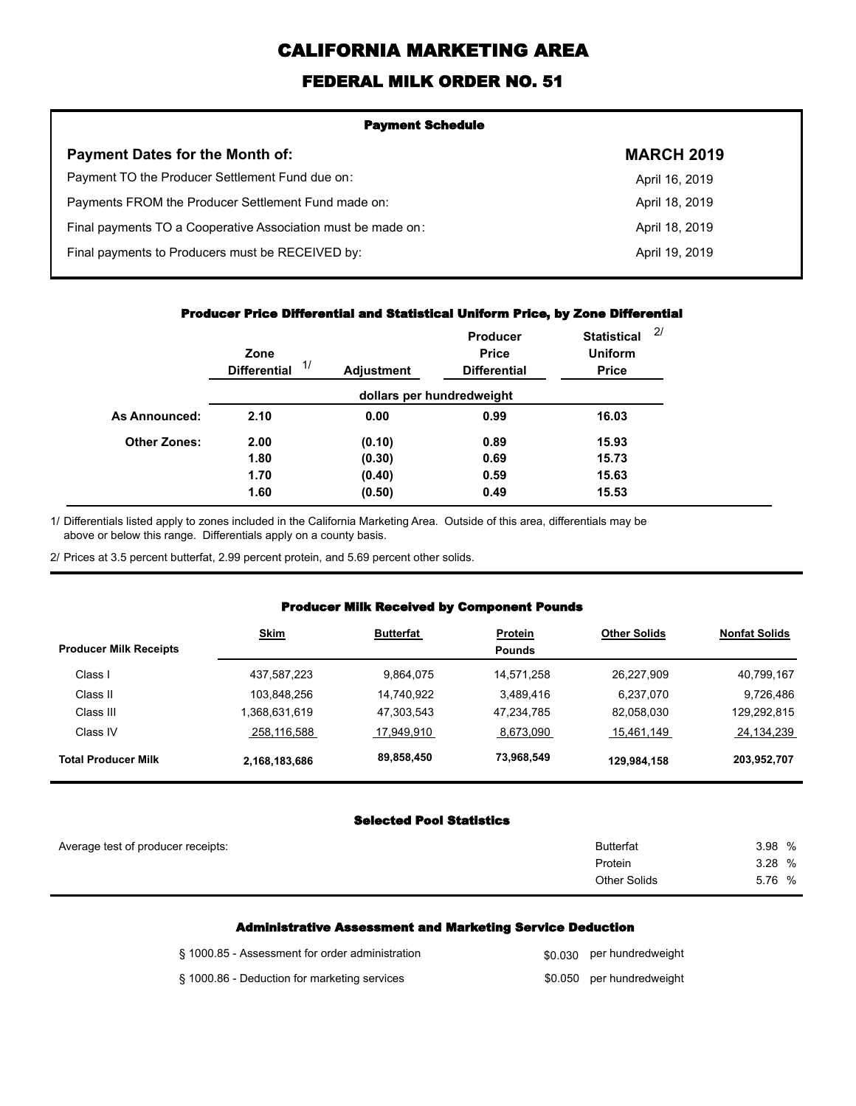# **CALIFORNIA MARKETING AREA**

## **FEDERAL MILK ORDER NO. 51**

| <b>Payment Schedule</b>                                      |                   |
|--------------------------------------------------------------|-------------------|
| <b>Payment Dates for the Month of:</b>                       | <b>MARCH 2019</b> |
| Payment TO the Producer Settlement Fund due on:              | April 16, 2019    |
| Payments FROM the Producer Settlement Fund made on:          | April 18, 2019    |
| Final payments TO a Cooperative Association must be made on: | April 18, 2019    |
| Final payments to Producers must be RECEIVED by:             | April 19, 2019    |
|                                                              |                   |

#### **Producer Price Differential and Statistical Uniform Price, by Zone Differential**

|                     | Zone<br>1/<br><b>Differential</b> | <b>Adjustment</b> | Producer<br><b>Price</b><br><b>Differential</b> | <b>Statistical</b><br><b>Uniform</b><br><b>Price</b> | 2/ |
|---------------------|-----------------------------------|-------------------|-------------------------------------------------|------------------------------------------------------|----|
|                     |                                   |                   | dollars per hundredweight                       |                                                      |    |
| As Announced:       | 2.10                              | 0.00              | 0.99                                            | 16.03                                                |    |
| <b>Other Zones:</b> | 2.00                              | (0.10)            | 0.89                                            | 15.93                                                |    |
|                     | 1.80                              | (0.30)            | 0.69                                            | 15.73                                                |    |
|                     | 1.70                              | (0.40)            | 0.59                                            | 15.63                                                |    |
|                     | 1.60                              | (0.50)            | 0.49                                            | 15.53                                                |    |

Differentials listed apply to zones included in the California Marketing Area. Outside of this area, differentials may be above or below this range. Differentials apply on a county basis. 1/

2/ Prices at 3.5 percent butterfat, 2.99 percent protein, and 5.69 percent other solids.

#### **Producer Milk Received by Component Pounds**

| <b>Producer Milk Receipts</b> | <b>Skim</b>   | <b>Butterfat</b> | <b>Protein</b><br><b>Pounds</b> | <b>Other Solids</b> | <b>Nonfat Solids</b> |
|-------------------------------|---------------|------------------|---------------------------------|---------------------|----------------------|
| Class I                       | 437,587,223   | 9.864.075        | 14.571.258                      | 26.227.909          | 40,799,167           |
| Class II                      | 103.848.256   | 14.740.922       | 3.489.416                       | 6.237.070           | 9.726.486            |
| Class III                     | .368,631,619  | 47,303,543       | 47.234.785                      | 82,058,030          | 129,292,815          |
| Class IV                      | 258,116,588   | 17,949,910       | 8,673,090                       | 15,461,149          | 24,134,239           |
| <b>Total Producer Milk</b>    | 2,168,183,686 | 89,858,450       | 73,968,549                      | 129,984,158         | 203,952,707          |

#### **Selected Pool Statistics**

| Average test of producer receipts: | <b>Butterfat</b>    | 3.98 % |
|------------------------------------|---------------------|--------|
|                                    | Protein             | 3.28 % |
|                                    | <b>Other Solids</b> | 5.76 % |
|                                    |                     |        |

#### **Administrative Assessment and Marketing Service Deduction**

| § 1000.85 - Assessment for order administration | \$0,030 per hundredweight |
|-------------------------------------------------|---------------------------|
| § 1000.86 - Deduction for marketing services    | \$0.050 per hundredweight |